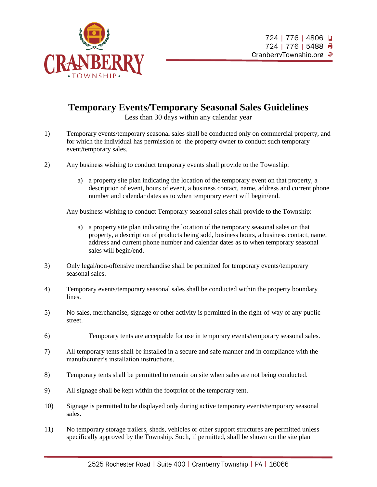

## **Temporary Events/Temporary Seasonal Sales Guidelines**

Less than 30 days within any calendar year

- 1) Temporary events/temporary seasonal sales shall be conducted only on commercial property, and for which the individual has permission of the property owner to conduct such temporary event/temporary sales.
- 2) Any business wishing to conduct temporary events shall provide to the Township:
	- a) a property site plan indicating the location of the temporary event on that property, a description of event, hours of event, a business contact, name, address and current phone number and calendar dates as to when temporary event will begin/end.

Any business wishing to conduct Temporary seasonal sales shall provide to the Township:

- a) a property site plan indicating the location of the temporary seasonal sales on that property, a description of products being sold, business hours, a business contact, name, address and current phone number and calendar dates as to when temporary seasonal sales will begin/end.
- 3) Only legal/non-offensive merchandise shall be permitted for temporary events/temporary seasonal sales.
- 4) Temporary events/temporary seasonal sales shall be conducted within the property boundary lines.
- 5) No sales, merchandise, signage or other activity is permitted in the right-of-way of any public street.
- 6) Temporary tents are acceptable for use in temporary events/temporary seasonal sales.
- 7) All temporary tents shall be installed in a secure and safe manner and in compliance with the manufacturer's installation instructions.
- 8) Temporary tents shall be permitted to remain on site when sales are not being conducted.
- 9) All signage shall be kept within the footprint of the temporary tent.
- 10) Signage is permitted to be displayed only during active temporary events/temporary seasonal sales.
- 11) No temporary storage trailers, sheds, vehicles or other support structures are permitted unless specifically approved by the Township. Such, if permitted, shall be shown on the site plan